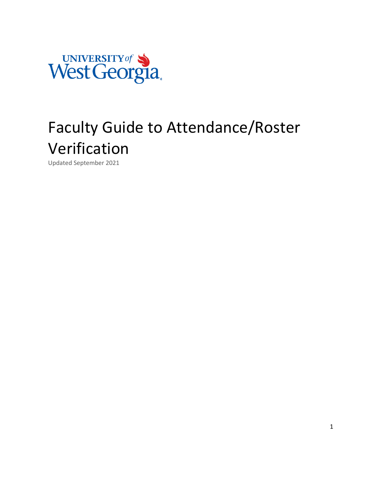

# Faculty Guide to Attendance/Roster Verification

Updated September 2021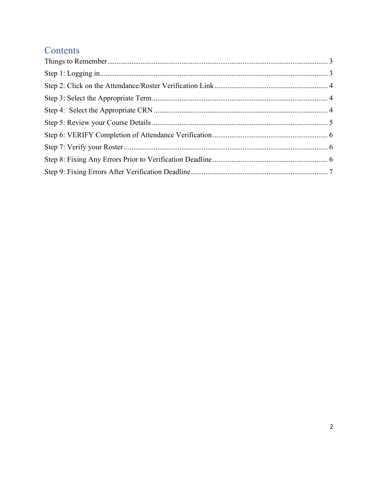## Contents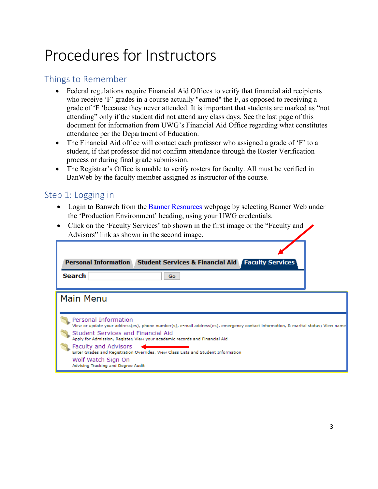# Procedures for Instructors

## <span id="page-2-0"></span>Things to Remember

- Federal regulations require Financial Aid Offices to verify that financial aid recipients who receive 'F' grades in a course actually "earned" the F, as opposed to receiving a grade of 'F 'because they never attended. It is important that students are marked as "not attending" only if the student did not attend any class days. See the last page of this document for information from UWG's Financial Aid Office regarding what constitutes attendance per the Department of Education.
- The Financial Aid office will contact each professor who assigned a grade of 'F' to a student, if that professor did not confirm attendance through the Roster Verification process or during final grade submission.
- The Registrar's Office is unable to verify rosters for faculty. All must be verified in BanWeb by the faculty member assigned as instructor of the course.

## <span id="page-2-1"></span>Step 1: Logging in

- Login to Banweb from the **Banner Resources** webpage by selecting Banner Web under the 'Production Environment' heading, using your UWG credentials.
- Click on the 'Faculty Services' tab shown in the first image or the "Faculty and Advisors" link as shown in the second image.

| Personal Information Student Services & Financial Aid Faculty Services                                                                                                                                                                                                                                                                                                                                                                                                     |  |
|----------------------------------------------------------------------------------------------------------------------------------------------------------------------------------------------------------------------------------------------------------------------------------------------------------------------------------------------------------------------------------------------------------------------------------------------------------------------------|--|
| <b>Search</b><br>Go.                                                                                                                                                                                                                                                                                                                                                                                                                                                       |  |
| <b>Main Menu</b><br>Personal Information<br>View or update your address(es), phone number(s), e-mail address(es), emergency contact information, & marital status; View name<br>Student Services and Financial Aid<br>Apply for Admission, Register, View your academic records and Financial Aid<br>Faculty and Advisors<br>Enter Grades and Registration Overrides, View Class Lists and Student Information<br>Wolf Watch Sign On<br>Advising Tracking and Degree Audit |  |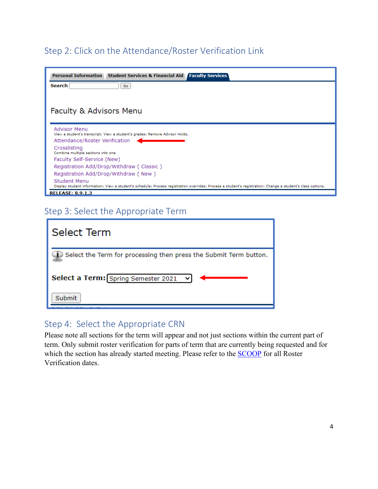## <span id="page-3-0"></span>Step 2: Click on the Attendance/Roster Verification Link

| <b>Personal Information</b><br><b>Student Services &amp; Financial Aid   Faculty Services</b>                                                                               |
|-----------------------------------------------------------------------------------------------------------------------------------------------------------------------------|
| Search<br>Go                                                                                                                                                                |
|                                                                                                                                                                             |
| Faculty & Advisors Menu                                                                                                                                                     |
|                                                                                                                                                                             |
| <b>Advisor Menu</b><br>View a student's transcript; View a student's grades; Remove Advisor Holds.                                                                          |
| Attendance/Roster Verification                                                                                                                                              |
| Crosslisting<br>Combine multiple sections into one                                                                                                                          |
| Faculty Self-Service (New)                                                                                                                                                  |
| Registration Add/Drop/Withdraw (Classic)                                                                                                                                    |
| Registration Add/Drop/Withdraw ( New )                                                                                                                                      |
| Student Menu<br>Display student information; View a student's schedule; Process registration overrides; Process a student's registration; Change a student's class options. |
| <b>RELEASE: 8.9.1.3</b>                                                                                                                                                     |

## <span id="page-3-1"></span>Step 3: Select the Appropriate Term

| Select Term                                                                 |
|-----------------------------------------------------------------------------|
| $\bullet$ Select the Term for processing then press the Submit Term button. |
| Select a Term: [Spring Semester 2021 v]                                     |
| Submit                                                                      |

## <span id="page-3-2"></span>Step 4: Select the Appropriate CRN

Please note all sections for the term will appear and not just sections within the current part of term. Only submit roster verification for parts of term that are currently being requested and for which the section has already started meeting. Please refer to the **SCOOP** for all Roster Verification dates.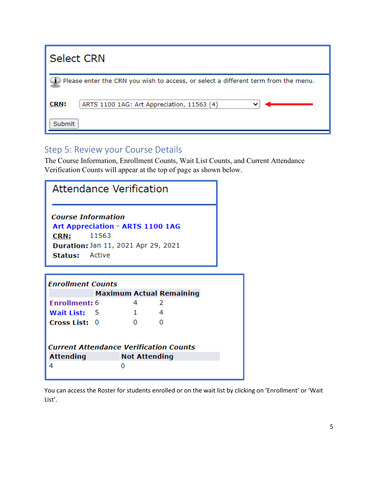| <b>Select CRN</b>                                                                            |  |  |  |  |
|----------------------------------------------------------------------------------------------|--|--|--|--|
| $\supset$ Please enter the CRN you wish to access, or select a different term from the menu. |  |  |  |  |
| <b>CRN:</b><br>ARTS 1100 1AG: Art Appreciation, 11563 (4)<br>Submit                          |  |  |  |  |
|                                                                                              |  |  |  |  |

## <span id="page-4-0"></span>Step 5: Review your Course Details

The Course Information, Enrollment Counts, Wait List Counts, and Current Attendance Verification Counts will appear at the top of page as shown below.

| <b>Attendance Verification</b>                                                                                                                        |  |                      |   |  |  |  |
|-------------------------------------------------------------------------------------------------------------------------------------------------------|--|----------------------|---|--|--|--|
| <b>Course Information</b><br>Art Appreciation - ARTS 1100 1AG<br>11563<br>CRN:<br><b>Duration: Jan 11, 2021 Apr 29, 2021</b><br><b>Status:</b> Active |  |                      |   |  |  |  |
| <b>Enrollment Counts</b>                                                                                                                              |  |                      |   |  |  |  |
| <b>Maximum Actual Remaining</b>                                                                                                                       |  |                      |   |  |  |  |
| <b>Enrollment: 6</b>                                                                                                                                  |  | 4                    | 2 |  |  |  |
| Wait List: 5                                                                                                                                          |  | 1                    | 4 |  |  |  |
| Cross List: 0                                                                                                                                         |  | O                    | O |  |  |  |
|                                                                                                                                                       |  |                      |   |  |  |  |
| <b>Current Attendance Verification Counts</b>                                                                                                         |  |                      |   |  |  |  |
| <b>Attending</b>                                                                                                                                      |  | <b>Not Attending</b> |   |  |  |  |
| 4                                                                                                                                                     |  | O                    |   |  |  |  |

You can access the Roster for students enrolled or on the wait list by clicking on 'Enrollment' or 'Wait List'.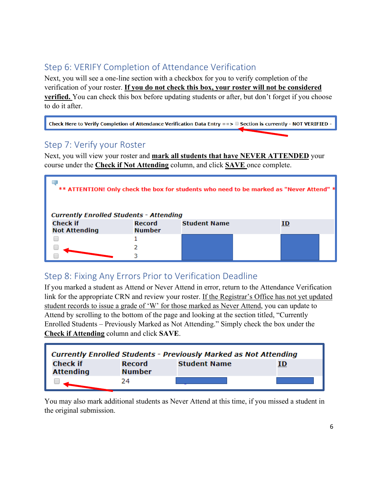## <span id="page-5-0"></span>Step 6: VERIFY Completion of Attendance Verification

Next, you will see a one-line section with a checkbox for you to verify completion of the verification of your roster. **If you do not check this box, your roster will not be considered verified.** You can check this box before updating students or after, but don't forget if you choose to do it after.

Check Here to Verify Completion of Attendance Verification Data Entry ==> ■ Section is currently - NOT VERIFIED -

### <span id="page-5-1"></span>Step 7: Verify your Roster

Next, you will view your roster and **mark all students that have NEVER ATTENDED** your course under the **Check if Not Attending** column, and click **SAVE** once complete.

| ** ATTENTION! Only check the box for students who need to be marked as "Never Attend" *<br><b>Currently Enrolled Students - Attending</b> |                                |                     |  |  |  |
|-------------------------------------------------------------------------------------------------------------------------------------------|--------------------------------|---------------------|--|--|--|
| <b>Check if</b><br><b>Not Attending</b>                                                                                                   | <b>Record</b><br><b>Number</b> | <b>Student Name</b> |  |  |  |
|                                                                                                                                           |                                |                     |  |  |  |
|                                                                                                                                           |                                |                     |  |  |  |
|                                                                                                                                           |                                |                     |  |  |  |

## <span id="page-5-2"></span>Step 8: Fixing Any Errors Prior to Verification Deadline

If you marked a student as Attend or Never Attend in error, return to the Attendance Verification link for the appropriate CRN and review your roster. If the Registrar's Office has not yet updated student records to issue a grade of 'W' for those marked as Never Attend, you can update to Attend by scrolling to the bottom of the page and looking at the section titled, "Currently Enrolled Students – Previously Marked as Not Attending." Simply check the box under the **Check if Attending** column and click **SAVE**.

| Currently Enrolled Students - Previously Marked as Not Attending |                                |                     |  |  |  |
|------------------------------------------------------------------|--------------------------------|---------------------|--|--|--|
| <b>Check if</b><br><b>Attending</b>                              | <b>Record</b><br><b>Number</b> | <b>Student Name</b> |  |  |  |
|                                                                  | 24                             |                     |  |  |  |

You may also mark additional students as Never Attend at this time, if you missed a student in the original submission.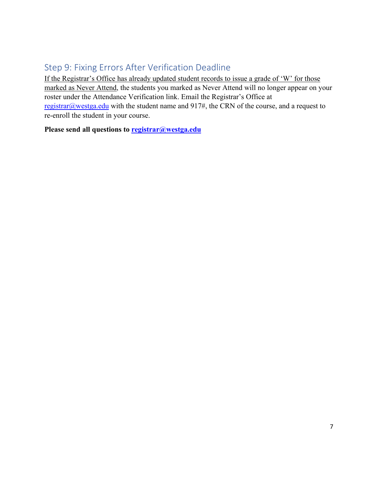## <span id="page-6-0"></span>Step 9: Fixing Errors After Verification Deadline

If the Registrar's Office has already updated student records to issue a grade of 'W' for those marked as Never Attend, the students you marked as Never Attend will no longer appear on your roster under the Attendance Verification link. Email the Registrar's Office at [registrar@westga.edu](mailto:registrar@westga.edu) with the student name and 917#, the CRN of the course, and a request to re-enroll the student in your course.

**Please send all questions to [registrar@westga.edu](mailto:registrar@westga.edu)**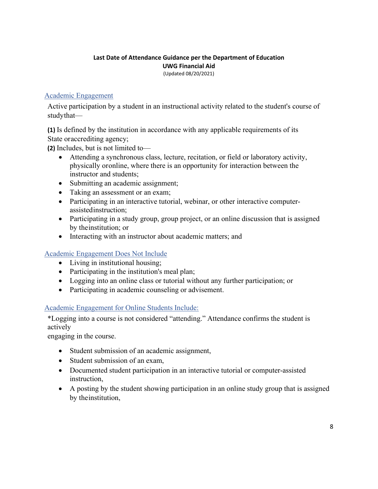#### **Last Date of Attendance Guidance per the Department of Education UWG Financial Aid**

(Updated 08/20/2021)

#### Academic Engagement

Active participation by a student in an instructional activity related to the student's course of studythat—

**(1)** Is defined by the institution in accordance with any applicable requirements of its State oraccrediting agency;

**(2)** Includes, but is not limited to—

- Attending a synchronous class, lecture, recitation, or field or laboratory activity, physically oronline, where there is an opportunity for interaction between the instructor and students;
- Submitting an academic assignment;
- Taking an assessment or an exam;
- Participating in an interactive tutorial, webinar, or other interactive computerassistedinstruction;
- Participating in a study group, group project, or an online discussion that is assigned by theinstitution; or
- Interacting with an instructor about academic matters; and

#### Academic Engagement Does Not Include

- Living in institutional housing;
- Participating in the institution's meal plan;
- Logging into an online class or tutorial without any further participation; or
- Participating in academic counseling or advisement.

#### Academic Engagement for Online Students Include:

\*Logging into a course is not considered "attending." Attendance confirms the student is actively

engaging in the course.

- Student submission of an academic assignment,
- Student submission of an exam.
- Documented student participation in an interactive tutorial or computer-assisted instruction,
- A posting by the student showing participation in an online study group that is assigned by theinstitution,